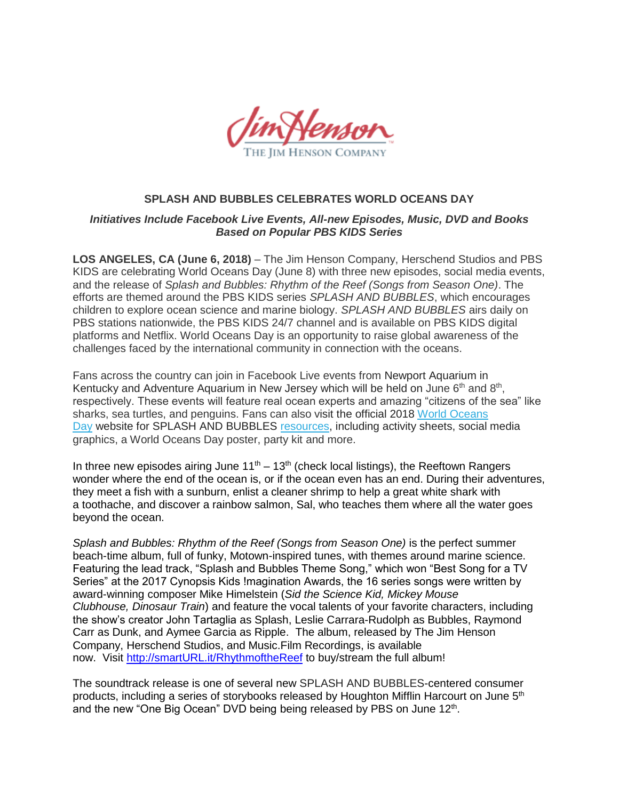

## **SPLASH AND BUBBLES CELEBRATES WORLD OCEANS DAY**

### *Initiatives Include Facebook Live Events, All-new Episodes, Music, DVD and Books Based on Popular PBS KIDS Series*

**LOS ANGELES, CA (June 6, 2018)** – The Jim Henson Company, Herschend Studios and PBS KIDS are celebrating World Oceans Day (June 8) with three new episodes, social media events, and the release of *Splash and Bubbles: Rhythm of the Reef (Songs from Season One)*. The efforts are themed around the PBS KIDS series *SPLASH AND BUBBLES*, which encourages children to explore ocean science and marine biology. *SPLASH AND BUBBLES* airs daily on PBS stations nationwide, the PBS KIDS 24/7 channel and is available on PBS KIDS digital platforms and Netflix. World Oceans Day is an opportunity to raise global awareness of the challenges faced by the international community in connection with the oceans.

Fans across the country can join in Facebook Live events from Newport Aquarium in Kentucky and Adventure Aquarium in New Jersey which will be held on June  $6<sup>th</sup>$  and  $8<sup>th</sup>$ , respectively. These events will feature real ocean experts and amazing "citizens of the sea" like sharks, sea turtles, and penguins. Fans can also visit the official 2018 [World Oceans](http://www.worldoceansday.org/)  [Day](http://www.worldoceansday.org/) website for SPLASH AND BUBBLES [resources,](http://www.worldoceansday.org/splash-bubbles-resources) including activity sheets, social media graphics, a World Oceans Day poster, party kit and more.

In three new episodes airing June  $11<sup>th</sup> - 13<sup>th</sup>$  (check local listings), the Reeftown Rangers wonder where the end of the ocean is, or if the ocean even has an end. During their adventures, they meet a fish with a sunburn, enlist a cleaner shrimp to help a great white shark with a toothache, and discover a rainbow salmon, Sal, who teaches them where all the water goes beyond the ocean.

*Splash and Bubbles: Rhythm of the Reef (Songs from Season One)* is the perfect summer beach-time album, full of funky, Motown-inspired tunes, with themes around marine science. Featuring the lead track, "Splash and Bubbles Theme Song," which won "Best Song for a TV Series" at the 2017 Cynopsis Kids !magination Awards, the 16 series songs were written by award-winning composer Mike Himelstein (*Sid the Science Kid, Mickey Mouse Clubhouse, Dinosaur Train*) and feature the vocal talents of your favorite characters, including the show's creator John Tartaglia as Splash, Leslie Carrara-Rudolph as Bubbles, Raymond Carr as Dunk, and Aymee Garcia as Ripple. The album, released by The Jim Henson Company, Herschend Studios, and Music.Film Recordings, is available now. Visit [http://smartURL.it/RhythmoftheReef](http://smarturl.it/RhythmoftheReef) to buy/stream the full album!

The soundtrack release is one of several new SPLASH AND BUBBLES-centered consumer products, including a series of storybooks released by Houghton Mifflin Harcourt on June 5<sup>th</sup> and the new "One Big Ocean" DVD being being released by PBS on June 12<sup>th</sup>.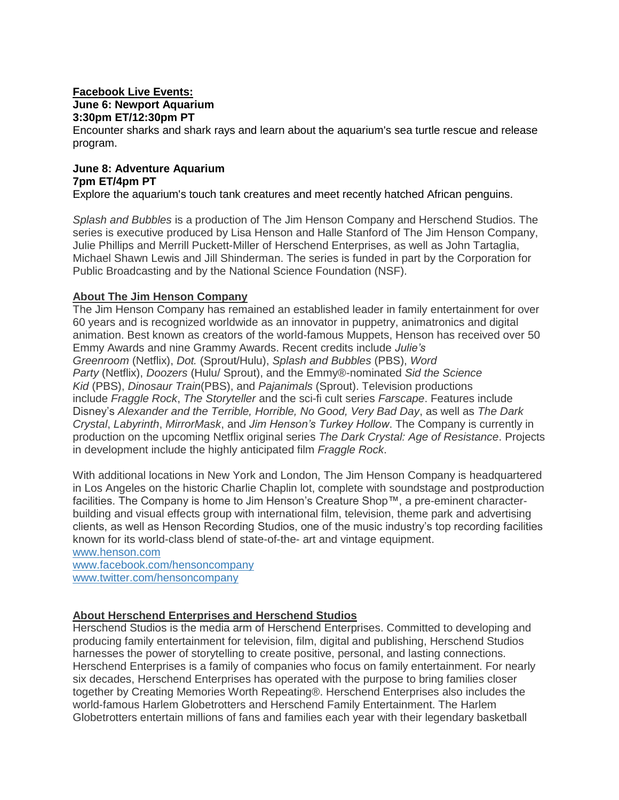#### **Facebook Live Events: June 6: Newport Aquarium 3:30pm ET/12:30pm PT**

Encounter sharks and shark rays and learn about the aquarium's sea turtle rescue and release program.

### **June 8: Adventure Aquarium 7pm ET/4pm PT**

Explore the aquarium's touch tank creatures and meet recently hatched African penguins.

*Splash and Bubbles* is a production of The Jim Henson Company and Herschend Studios. The series is executive produced by Lisa Henson and Halle Stanford of The Jim Henson Company, Julie Phillips and Merrill Puckett-Miller of Herschend Enterprises, as well as John Tartaglia, Michael Shawn Lewis and Jill Shinderman. The series is funded in part by the Corporation for Public Broadcasting and by the National Science Foundation (NSF).

## **About The Jim Henson Company**

The Jim Henson Company has remained an established leader in family entertainment for over 60 years and is recognized worldwide as an innovator in puppetry, animatronics and digital animation. Best known as creators of the world-famous Muppets, Henson has received over 50 Emmy Awards and nine Grammy Awards. Recent credits include *Julie's Greenroom* (Netflix), *Dot.* (Sprout/Hulu), *Splash and Bubbles* (PBS), *Word Party* (Netflix), *Doozers* (Hulu/ Sprout), and the Emmy®-nominated *Sid the Science Kid* (PBS), *Dinosaur Train*(PBS), and *Pajanimals* (Sprout). Television productions include *Fraggle Rock*, *The Storyteller* and the sci-fi cult series *Farscape*. Features include Disney's *Alexander and the Terrible, Horrible, No Good, Very Bad Day*, as well as *The Dark Crystal*, *Labyrinth*, *MirrorMask*, and *Jim Henson's Turkey Hollow*. The Company is currently in production on the upcoming Netflix original series *The Dark Crystal: Age of Resistance*. Projects in development include the highly anticipated film *Fraggle Rock*.

With additional locations in New York and London, The Jim Henson Company is headquartered in Los Angeles on the historic Charlie Chaplin lot, complete with soundstage and postproduction facilities. The Company is home to Jim Henson's Creature Shop™, a pre-eminent characterbuilding and visual effects group with international film, television, theme park and advertising clients, as well as Henson Recording Studios, one of the music industry's top recording facilities known for its world-class blend of state-of-the- art and vintage equipment.

[www.henson.com](http://www.henson.com/) [www.facebook.com/hensoncompany](http://www.facebook.com/hensoncompany) [www.twitter.com/hensoncompany](http://www.twitter.com/hensoncompany)

### **About Herschend Enterprises and Herschend Studios**

Herschend Studios is the media arm of Herschend Enterprises. Committed to developing and producing family entertainment for television, film, digital and publishing, Herschend Studios harnesses the power of storytelling to create positive, personal, and lasting connections. Herschend Enterprises is a family of companies who focus on family entertainment. For nearly six decades, Herschend Enterprises has operated with the purpose to bring families closer together by Creating Memories Worth Repeating®. Herschend Enterprises also includes the world-famous Harlem Globetrotters and Herschend Family Entertainment. The Harlem Globetrotters entertain millions of fans and families each year with their legendary basketball